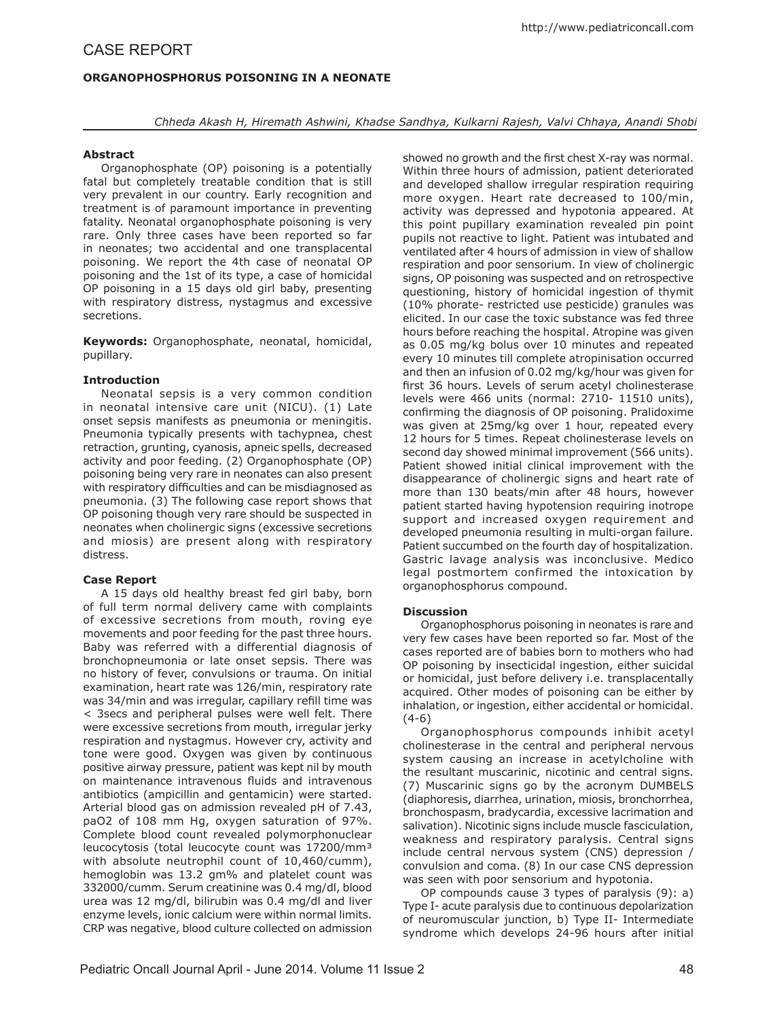# **Organophosphorus Poisoning in a Neonate**

*Chheda Akash H, Hiremath Ashwini, Khadse Sandhya, Kulkarni Rajesh, Valvi Chhaya, Anandi Shobi*

# **Abstract**

Organophosphate (OP) poisoning is a potentially fatal but completely treatable condition that is still very prevalent in our country. Early recognition and treatment is of paramount importance in preventing fatality. Neonatal organophosphate poisoning is very rare. Only three cases have been reported so far in neonates; two accidental and one transplacental poisoning. We report the 4th case of neonatal OP poisoning and the 1st of its type, a case of homicidal OP poisoning in a 15 days old girl baby, presenting with respiratory distress, nystagmus and excessive secretions.

**Keywords:** Organophosphate, neonatal, homicidal, pupillary.

### **Introduction**

Neonatal sepsis is a very common condition in neonatal intensive care unit (NICU). (1) Late onset sepsis manifests as pneumonia or meningitis. Pneumonia typically presents with tachypnea, chest retraction, grunting, cyanosis, apneic spells, decreased activity and poor feeding. (2) Organophosphate (OP) poisoning being very rare in neonates can also present with respiratory difficulties and can be misdiagnosed as pneumonia. (3) The following case report shows that OP poisoning though very rare should be suspected in neonates when cholinergic signs (excessive secretions and miosis) are present along with respiratory distress.

## **Case Report**

A 15 days old healthy breast fed girl baby, born of full term normal delivery came with complaints of excessive secretions from mouth, roving eye movements and poor feeding for the past three hours. Baby was referred with a differential diagnosis of bronchopneumonia or late onset sepsis. There was no history of fever, convulsions or trauma. On initial examination, heart rate was 126/min, respiratory rate was 34/min and was irregular, capillary refill time was < 3secs and peripheral pulses were well felt. There were excessive secretions from mouth, irregular jerky respiration and nystagmus. However cry, activity and tone were good. Oxygen was given by continuous positive airway pressure, patient was kept nil by mouth on maintenance intravenous fluids and intravenous antibiotics (ampicillin and gentamicin) were started. Arterial blood gas on admission revealed pH of 7.43, paO2 of 108 mm Hg, oxygen saturation of 97%. Complete blood count revealed polymorphonuclear leucocytosis (total leucocyte count was 17200/mm³ with absolute neutrophil count of 10,460/cumm), hemoglobin was 13.2 gm% and platelet count was 332000/cumm. Serum creatinine was 0.4 mg/dl, blood urea was 12 mg/dl, bilirubin was 0.4 mg/dl and liver enzyme levels, ionic calcium were within normal limits. CRP was negative, blood culture collected on admission

showed no growth and the first chest X-ray was normal. Within three hours of admission, patient deteriorated and developed shallow irregular respiration requiring more oxygen. Heart rate decreased to 100/min, activity was depressed and hypotonia appeared. At this point pupillary examination revealed pin point pupils not reactive to light. Patient was intubated and ventilated after 4 hours of admission in view of shallow respiration and poor sensorium. In view of cholinergic signs, OP poisoning was suspected and on retrospective questioning, history of homicidal ingestion of thymit (10% phorate- restricted use pesticide) granules was elicited. In our case the toxic substance was fed three hours before reaching the hospital. Atropine was given as 0.05 mg/kg bolus over 10 minutes and repeated every 10 minutes till complete atropinisation occurred and then an infusion of 0.02 mg/kg/hour was given for first 36 hours. Levels of serum acetyl cholinesterase levels were 466 units (normal: 2710- 11510 units), confirming the diagnosis of OP poisoning. Pralidoxime was given at 25mg/kg over 1 hour, repeated every 12 hours for 5 times. Repeat cholinesterase levels on second day showed minimal improvement (566 units). Patient showed initial clinical improvement with the disappearance of cholinergic signs and heart rate of more than 130 beats/min after 48 hours, however patient started having hypotension requiring inotrope support and increased oxygen requirement and developed pneumonia resulting in multi-organ failure. Patient succumbed on the fourth day of hospitalization. Gastric lavage analysis was inconclusive. Medico legal postmortem confirmed the intoxication by organophosphorus compound.

## **Discussion**

Organophosphorus poisoning in neonates is rare and very few cases have been reported so far. Most of the cases reported are of babies born to mothers who had OP poisoning by insecticidal ingestion, either suicidal or homicidal, just before delivery i.e. transplacentally acquired. Other modes of poisoning can be either by inhalation, or ingestion, either accidental or homicidal. (4-6)

Organophosphorus compounds inhibit acetyl cholinesterase in the central and peripheral nervous system causing an increase in acetylcholine with the resultant muscarinic, nicotinic and central signs. (7) Muscarinic signs go by the acronym DUMBELS (diaphoresis, diarrhea, urination, miosis, bronchorrhea, bronchospasm, bradycardia, excessive lacrimation and salivation). Nicotinic signs include muscle fasciculation, weakness and respiratory paralysis. Central signs include central nervous system (CNS) depression / convulsion and coma. (8) In our case CNS depression was seen with poor sensorium and hypotonia.

OP compounds cause 3 types of paralysis (9): a) Type I- acute paralysis due to continuous depolarization of neuromuscular junction, b) Type II- Intermediate syndrome which develops 24-96 hours after initial